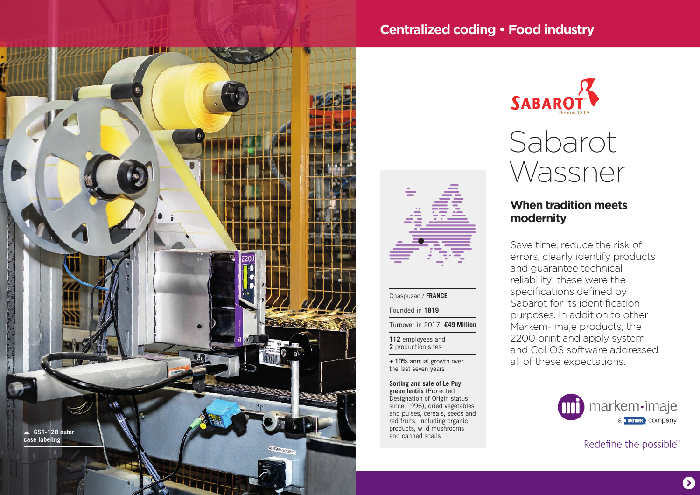

## **Centralized coding • Food industry**



# Sabarot Wassner

### **When tradition meets modernity**

Save time, reduce the risk of errors, clearly identify products and guarantee technical reliability: these were the specifications defined by Sabarot for its identification purposes. In addition to other Markem-Imaje products, the 2200 print and apply system and CoLOS software addressed all of these expectations.

> markem·imaje a **DOVER** COMPANY

> > Redefine the possible®



#### Chaspuzac / **FRANCE**

Founded in **1819**

Turnover in 2017: **€49 Million** 

**112** employees and **2** production sites

**+ 10%** annual growth over the last seven years

**Sorting and sale of Le Puy green lentils** (Protected Designation of Origin status since 1996), dried vegetables and pulses, cereals, seeds and red fruits, including organic products, wild mushrooms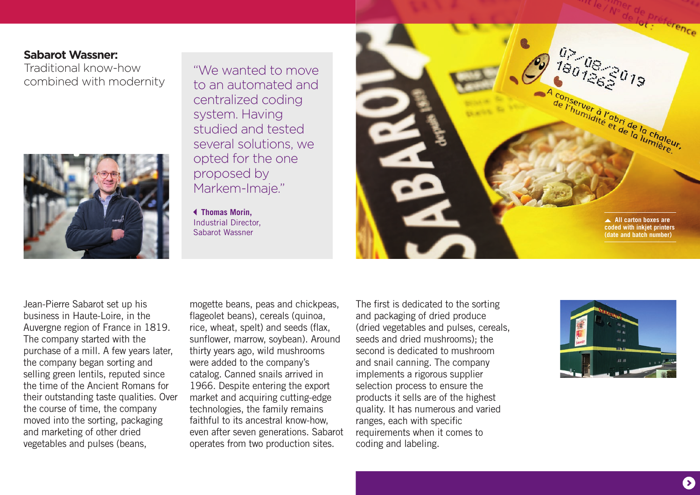## **Sabarot Wassner:**

Traditional know-how combined with modernity



"We wanted to move to an automated and centralized coding system. Having studied and tested several solutions, we opted for the one proposed by Markem-Imaje."

 **Thomas Morin,**  Industrial Director, Sabarot Wassner



Jean-Pierre Sabarot set up his business in Haute-Loire, in the Auvergne region of France in 1819. The company started with the purchase of a mill. A few years later, the company began sorting and selling green lentils, reputed since the time of the Ancient Romans for their outstanding taste qualities. Over the course of time, the company moved into the sorting, packaging and marketing of other dried vegetables and pulses (beans,

mogette beans, peas and chickpeas, flageolet beans), cereals (quinoa, rice, wheat, spelt) and seeds (flax, sunflower, marrow, soybean). Around thirty years ago, wild mushrooms were added to the company's catalog. Canned snails arrived in 1966. Despite entering the export market and acquiring cutting-edge technologies, the family remains faithful to its ancestral know-how, even after seven generations. Sabarot operates from two production sites.

The first is dedicated to the sorting and packaging of dried produce (dried vegetables and pulses, cereals, seeds and dried mushrooms); the second is dedicated to mushroom and snail canning. The company implements a rigorous supplier selection process to ensure the products it sells are of the highest quality. It has numerous and varied ranges, each with specific requirements when it comes to coding and labeling.